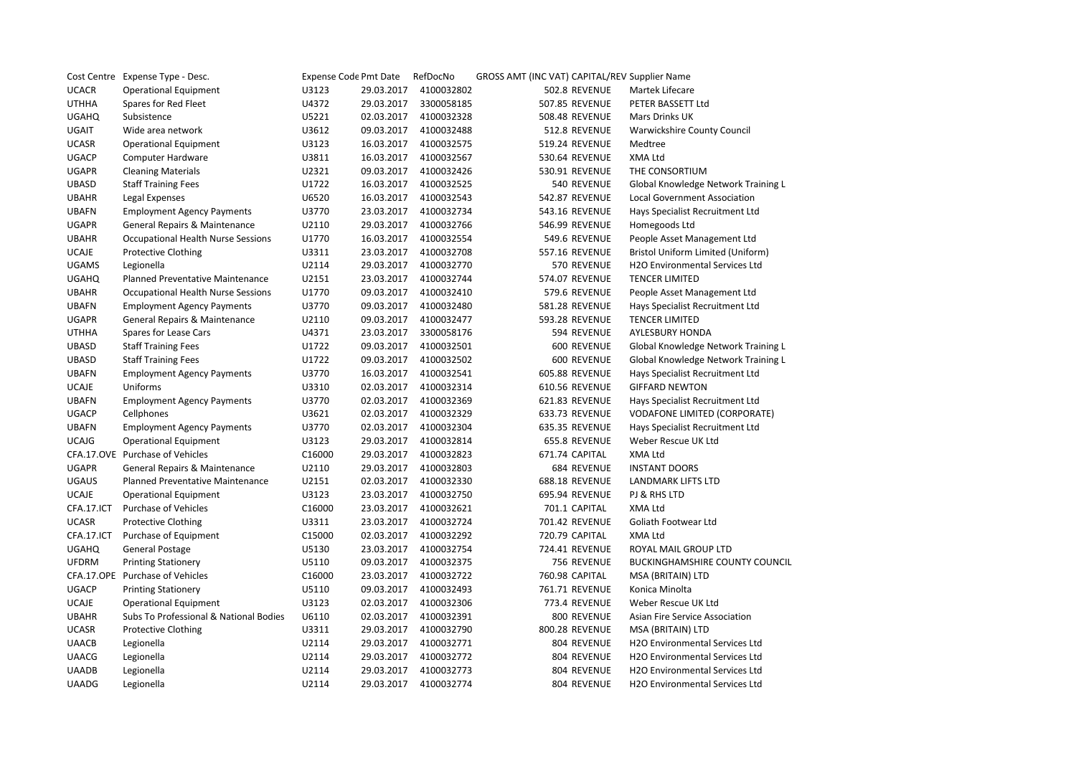|              | Cost Centre Expense Type - Desc.          | <b>Expense Code Pmt Date</b> |            | RefDocNo   | GROSS AMT (INC VAT) CAPITAL/REV Supplier Name |                                       |
|--------------|-------------------------------------------|------------------------------|------------|------------|-----------------------------------------------|---------------------------------------|
| <b>UCACR</b> | <b>Operational Equipment</b>              | U3123                        | 29.03.2017 | 4100032802 | 502.8 REVENUE                                 | Martek Lifecare                       |
| <b>UTHHA</b> | Spares for Red Fleet                      | U4372                        | 29.03.2017 | 3300058185 | 507.85 REVENUE                                | PETER BASSETT Ltd                     |
| <b>UGAHQ</b> | Subsistence                               | U5221                        | 02.03.2017 | 4100032328 | 508.48 REVENUE                                | <b>Mars Drinks UK</b>                 |
| UGAIT        | Wide area network                         | U3612                        | 09.03.2017 | 4100032488 | 512.8 REVENUE                                 | Warwickshire County Council           |
| <b>UCASR</b> | <b>Operational Equipment</b>              | U3123                        | 16.03.2017 | 4100032575 | 519.24 REVENUE                                | Medtree                               |
| <b>UGACP</b> | Computer Hardware                         | U3811                        | 16.03.2017 | 4100032567 | 530.64 REVENUE                                | XMA Ltd                               |
| <b>UGAPR</b> | <b>Cleaning Materials</b>                 | U2321                        | 09.03.2017 | 4100032426 | 530.91 REVENUE                                | THE CONSORTIUM                        |
| <b>UBASD</b> | <b>Staff Training Fees</b>                | U1722                        | 16.03.2017 | 4100032525 | 540 REVENUE                                   | Global Knowledge Network Training L   |
| <b>UBAHR</b> | Legal Expenses                            | U6520                        | 16.03.2017 | 4100032543 | 542.87 REVENUE                                | <b>Local Government Association</b>   |
| <b>UBAFN</b> | <b>Employment Agency Payments</b>         | U3770                        | 23.03.2017 | 4100032734 | 543.16 REVENUE                                | Hays Specialist Recruitment Ltd       |
| <b>UGAPR</b> | General Repairs & Maintenance             | U2110                        | 29.03.2017 | 4100032766 | 546.99 REVENUE                                | Homegoods Ltd                         |
| <b>UBAHR</b> | <b>Occupational Health Nurse Sessions</b> | U1770                        | 16.03.2017 | 4100032554 | 549.6 REVENUE                                 | People Asset Management Ltd           |
| <b>UCAJE</b> | <b>Protective Clothing</b>                | U3311                        | 23.03.2017 | 4100032708 | 557.16 REVENUE                                | Bristol Uniform Limited (Uniform)     |
| <b>UGAMS</b> | Legionella                                | U2114                        | 29.03.2017 | 4100032770 | 570 REVENUE                                   | H2O Environmental Services Ltd        |
| <b>UGAHQ</b> | Planned Preventative Maintenance          | U2151                        | 23.03.2017 | 4100032744 | 574.07 REVENUE                                | <b>TENCER LIMITED</b>                 |
| <b>UBAHR</b> | <b>Occupational Health Nurse Sessions</b> | U1770                        | 09.03.2017 | 4100032410 | 579.6 REVENUE                                 | People Asset Management Ltd           |
| <b>UBAFN</b> | <b>Employment Agency Payments</b>         | U3770                        | 09.03.2017 | 4100032480 | 581.28 REVENUE                                | Hays Specialist Recruitment Ltd       |
| <b>UGAPR</b> | <b>General Repairs &amp; Maintenance</b>  | U2110                        | 09.03.2017 | 4100032477 | 593.28 REVENUE                                | <b>TENCER LIMITED</b>                 |
| <b>UTHHA</b> | Spares for Lease Cars                     | U4371                        | 23.03.2017 | 3300058176 | 594 REVENUE                                   | AYLESBURY HONDA                       |
| <b>UBASD</b> | <b>Staff Training Fees</b>                | U1722                        | 09.03.2017 | 4100032501 | 600 REVENUE                                   | Global Knowledge Network Training L   |
| <b>UBASD</b> | <b>Staff Training Fees</b>                | U1722                        | 09.03.2017 | 4100032502 | 600 REVENUE                                   | Global Knowledge Network Training L   |
| <b>UBAFN</b> | <b>Employment Agency Payments</b>         | U3770                        | 16.03.2017 | 4100032541 | 605.88 REVENUE                                | Hays Specialist Recruitment Ltd       |
| <b>UCAJE</b> | Uniforms                                  | U3310                        | 02.03.2017 | 4100032314 | 610.56 REVENUE                                | <b>GIFFARD NEWTON</b>                 |
| <b>UBAFN</b> | <b>Employment Agency Payments</b>         | U3770                        | 02.03.2017 | 4100032369 | 621.83 REVENUE                                | Hays Specialist Recruitment Ltd       |
| <b>UGACP</b> | Cellphones                                | U3621                        | 02.03.2017 | 4100032329 | 633.73 REVENUE                                | <b>VODAFONE LIMITED (CORPORATE)</b>   |
| <b>UBAFN</b> | <b>Employment Agency Payments</b>         | U3770                        | 02.03.2017 | 4100032304 | 635.35 REVENUE                                | Hays Specialist Recruitment Ltd       |
| <b>UCAJG</b> | <b>Operational Equipment</b>              | U3123                        | 29.03.2017 | 4100032814 | 655.8 REVENUE                                 | Weber Rescue UK Ltd                   |
|              | CFA.17.OVE Purchase of Vehicles           | C16000                       | 29.03.2017 | 4100032823 | 671.74 CAPITAL                                | XMA Ltd                               |
| <b>UGAPR</b> | General Repairs & Maintenance             | U2110                        | 29.03.2017 | 4100032803 | 684 REVENUE                                   | <b>INSTANT DOORS</b>                  |
| <b>UGAUS</b> | Planned Preventative Maintenance          | U2151                        | 02.03.2017 | 4100032330 | 688.18 REVENUE                                | LANDMARK LIFTS LTD                    |
| <b>UCAJE</b> | <b>Operational Equipment</b>              | U3123                        | 23.03.2017 | 4100032750 | 695.94 REVENUE                                | PJ & RHS LTD                          |
| CFA.17.ICT   | <b>Purchase of Vehicles</b>               | C16000                       | 23.03.2017 | 4100032621 | 701.1 CAPITAL                                 | XMA Ltd                               |
| <b>UCASR</b> | <b>Protective Clothing</b>                | U3311                        | 23.03.2017 | 4100032724 | 701.42 REVENUE                                | Goliath Footwear Ltd                  |
| CFA.17.ICT   | Purchase of Equipment                     | C15000                       | 02.03.2017 | 4100032292 | 720.79 CAPITAL                                | XMA Ltd                               |
| <b>UGAHQ</b> | <b>General Postage</b>                    | U5130                        | 23.03.2017 | 4100032754 | 724.41 REVENUE                                | ROYAL MAIL GROUP LTD                  |
| <b>UFDRM</b> | <b>Printing Stationery</b>                | U5110                        | 09.03.2017 | 4100032375 | 756 REVENUE                                   | BUCKINGHAMSHIRE COUNTY COUNCIL        |
|              | CFA.17.OPE Purchase of Vehicles           | C16000                       | 23.03.2017 | 4100032722 | 760.98 CAPITAL                                | MSA (BRITAIN) LTD                     |
| <b>UGACP</b> | <b>Printing Stationery</b>                | U5110                        | 09.03.2017 | 4100032493 | 761.71 REVENUE                                | Konica Minolta                        |
| <b>UCAJE</b> | <b>Operational Equipment</b>              | U3123                        | 02.03.2017 | 4100032306 | 773.4 REVENUE                                 | Weber Rescue UK Ltd                   |
| <b>UBAHR</b> | Subs To Professional & National Bodies    | U6110                        | 02.03.2017 | 4100032391 | 800 REVENUE                                   | Asian Fire Service Association        |
| <b>UCASR</b> | <b>Protective Clothing</b>                | U3311                        | 29.03.2017 | 4100032790 | 800.28 REVENUE                                | MSA (BRITAIN) LTD                     |
| <b>UAACB</b> | Legionella                                | U2114                        | 29.03.2017 | 4100032771 | 804 REVENUE                                   | H2O Environmental Services Ltd        |
| <b>UAACG</b> | Legionella                                | U2114                        | 29.03.2017 | 4100032772 | 804 REVENUE                                   | H2O Environmental Services Ltd        |
| <b>UAADB</b> | Legionella                                | U2114                        | 29.03.2017 | 4100032773 | 804 REVENUE                                   | H2O Environmental Services Ltd        |
| <b>UAADG</b> | Legionella                                | U2114                        | 29.03.2017 | 4100032774 | 804 REVENUE                                   | <b>H2O Environmental Services Ltd</b> |
|              |                                           |                              |            |            |                                               |                                       |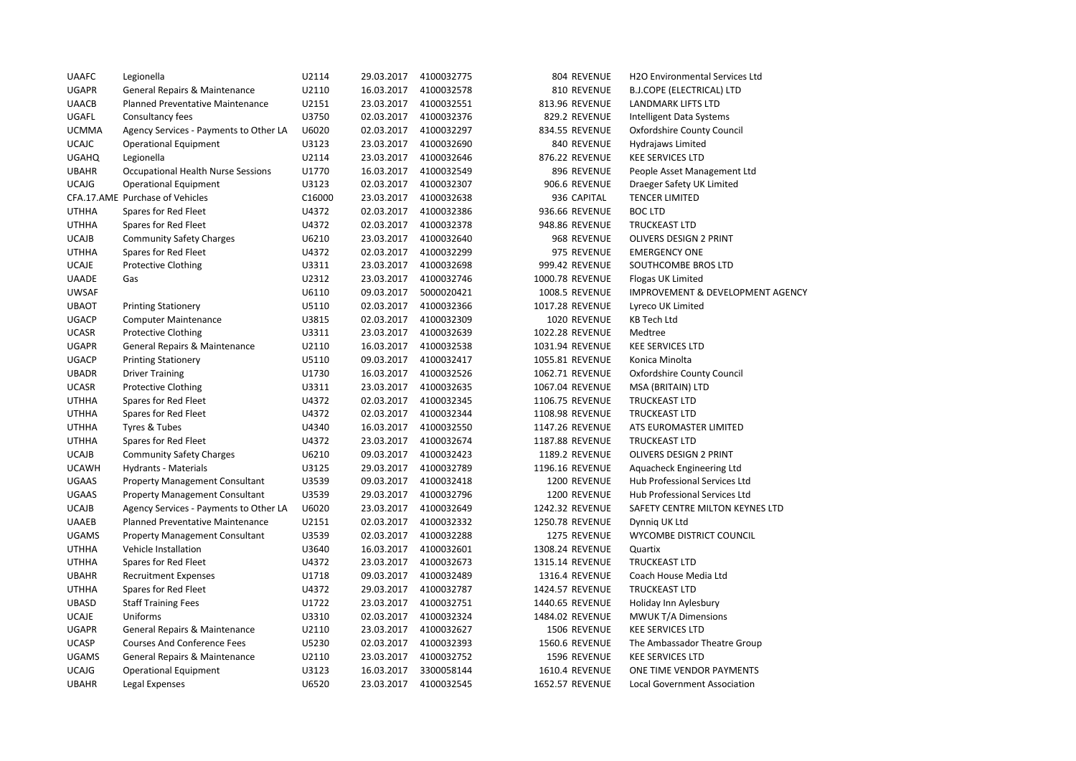| <b>UAAFC</b> | Legionella                             | U2114  | 29.03.2017 | 4100032775 | 804 REVENUE           | H2O Environmental Services Ltd              |
|--------------|----------------------------------------|--------|------------|------------|-----------------------|---------------------------------------------|
| <b>UGAPR</b> | General Repairs & Maintenance          | U2110  | 16.03.2017 | 4100032578 | 810 REVENUE           | <b>B.J.COPE (ELECTRICAL) LTD</b>            |
| <b>UAACB</b> | Planned Preventative Maintenance       | U2151  | 23.03.2017 | 4100032551 | 813.96 REVENUE        | <b>LANDMARK LIFTS LTD</b>                   |
| <b>UGAFL</b> | Consultancy fees                       | U3750  | 02.03.2017 | 4100032376 | 829.2 REVENUE         | <b>Intelligent Data Systems</b>             |
| <b>UCMMA</b> | Agency Services - Payments to Other LA | U6020  | 02.03.2017 | 4100032297 | 834.55 REVENUE        | Oxfordshire County Council                  |
| <b>UCAJC</b> | <b>Operational Equipment</b>           | U3123  | 23.03.2017 | 4100032690 | 840 REVENUE           | <b>Hydrajaws Limited</b>                    |
| <b>UGAHQ</b> | Legionella                             | U2114  | 23.03.2017 | 4100032646 | 876.22 REVENUE        | <b>KEE SERVICES LTD</b>                     |
| <b>UBAHR</b> | Occupational Health Nurse Sessions     | U1770  | 16.03.2017 | 4100032549 | 896 REVENUE           | People Asset Management Ltd                 |
| <b>UCAJG</b> | <b>Operational Equipment</b>           | U3123  | 02.03.2017 | 4100032307 | 906.6 REVENUE         | Draeger Safety UK Limited                   |
|              | CFA.17.AME Purchase of Vehicles        | C16000 | 23.03.2017 | 4100032638 | 936 CAPITAL           | <b>TENCER LIMITED</b>                       |
| <b>UTHHA</b> | Spares for Red Fleet                   | U4372  | 02.03.2017 | 4100032386 | 936.66 REVENUE        | <b>BOC LTD</b>                              |
| <b>UTHHA</b> | Spares for Red Fleet                   | U4372  | 02.03.2017 | 4100032378 | 948.86 REVENUE        | <b>TRUCKEAST LTD</b>                        |
| <b>UCAJB</b> | <b>Community Safety Charges</b>        | U6210  | 23.03.2017 | 4100032640 | 968 REVENUE           | OLIVERS DESIGN 2 PRINT                      |
| <b>UTHHA</b> | Spares for Red Fleet                   | U4372  | 02.03.2017 | 4100032299 | 975 REVENUE           | <b>EMERGENCY ONE</b>                        |
| <b>UCAJE</b> | <b>Protective Clothing</b>             | U3311  | 23.03.2017 | 4100032698 | 999.42 REVENUE        | SOUTHCOMBE BROS LTD                         |
| <b>UAADE</b> | Gas                                    | U2312  | 23.03.2017 | 4100032746 | 1000.78 REVENUE       | Flogas UK Limited                           |
| <b>UWSAF</b> |                                        | U6110  | 09.03.2017 | 5000020421 | <b>1008.5 REVENUE</b> | <b>IMPROVEMENT &amp; DEVELOPMENT AGENCY</b> |
| <b>UBAOT</b> | <b>Printing Stationery</b>             | U5110  | 02.03.2017 | 4100032366 | 1017.28 REVENUE       | Lyreco UK Limited                           |
| UGACP        | <b>Computer Maintenance</b>            | U3815  | 02.03.2017 | 4100032309 | 1020 REVENUE          | <b>KB Tech Ltd</b>                          |
| <b>UCASR</b> | <b>Protective Clothing</b>             | U3311  | 23.03.2017 | 4100032639 | 1022.28 REVENUE       | Medtree                                     |
| <b>UGAPR</b> | General Repairs & Maintenance          | U2110  | 16.03.2017 | 4100032538 | 1031.94 REVENUE       | <b>KEE SERVICES LTD</b>                     |
| <b>UGACP</b> | <b>Printing Stationery</b>             | U5110  | 09.03.2017 | 4100032417 | 1055.81 REVENUE       | Konica Minolta                              |
| <b>UBADR</b> | <b>Driver Training</b>                 | U1730  | 16.03.2017 | 4100032526 | 1062.71 REVENUE       | Oxfordshire County Council                  |
| <b>UCASR</b> | <b>Protective Clothing</b>             | U3311  | 23.03.2017 | 4100032635 | 1067.04 REVENUE       | MSA (BRITAIN) LTD                           |
| <b>UTHHA</b> | Spares for Red Fleet                   | U4372  | 02.03.2017 | 4100032345 | 1106.75 REVENUE       | <b>TRUCKEAST LTD</b>                        |
| <b>UTHHA</b> | Spares for Red Fleet                   | U4372  | 02.03.2017 | 4100032344 | 1108.98 REVENUE       | <b>TRUCKEAST LTD</b>                        |
| <b>UTHHA</b> | Tyres & Tubes                          | U4340  | 16.03.2017 | 4100032550 | 1147.26 REVENUE       | ATS EUROMASTER LIMITED                      |
| <b>UTHHA</b> | Spares for Red Fleet                   | U4372  | 23.03.2017 | 4100032674 | 1187.88 REVENUE       | <b>TRUCKEAST LTD</b>                        |
| <b>UCAJB</b> | <b>Community Safety Charges</b>        | U6210  | 09.03.2017 | 4100032423 | 1189.2 REVENUE        | OLIVERS DESIGN 2 PRINT                      |
| <b>UCAWH</b> | Hydrants - Materials                   | U3125  | 29.03.2017 | 4100032789 | 1196.16 REVENUE       | Aquacheck Engineering Ltd                   |
| <b>UGAAS</b> | <b>Property Management Consultant</b>  | U3539  | 09.03.2017 | 4100032418 | 1200 REVENUE          | Hub Professional Services Ltd               |
| <b>UGAAS</b> | <b>Property Management Consultant</b>  | U3539  | 29.03.2017 | 4100032796 | 1200 REVENUE          | Hub Professional Services Ltd               |
| <b>UCAJB</b> | Agency Services - Payments to Other LA | U6020  | 23.03.2017 | 4100032649 | 1242.32 REVENUE       | SAFETY CENTRE MILTON KEYNES LTD             |
| <b>UAAEB</b> | Planned Preventative Maintenance       | U2151  | 02.03.2017 | 4100032332 | 1250.78 REVENUE       | Dynnig UK Ltd                               |
| <b>UGAMS</b> | <b>Property Management Consultant</b>  | U3539  | 02.03.2017 | 4100032288 | 1275 REVENUE          | WYCOMBE DISTRICT COUNCIL                    |
| <b>UTHHA</b> | Vehicle Installation                   | U3640  | 16.03.2017 | 4100032601 | 1308.24 REVENUE       | Quartix                                     |
| <b>UTHHA</b> | Spares for Red Fleet                   | U4372  | 23.03.2017 | 4100032673 | 1315.14 REVENUE       | <b>TRUCKEAST LTD</b>                        |
| <b>UBAHR</b> | <b>Recruitment Expenses</b>            | U1718  | 09.03.2017 | 4100032489 | 1316.4 REVENUE        | Coach House Media Ltd                       |
| <b>UTHHA</b> | Spares for Red Fleet                   | U4372  | 29.03.2017 | 4100032787 | 1424.57 REVENUE       | <b>TRUCKEAST LTD</b>                        |
| <b>UBASD</b> | <b>Staff Training Fees</b>             | U1722  | 23.03.2017 | 4100032751 | 1440.65 REVENUE       | Holiday Inn Aylesbury                       |
| <b>UCAJE</b> | Uniforms                               | U3310  | 02.03.2017 | 4100032324 | 1484.02 REVENUE       | MWUK T/A Dimensions                         |
| <b>UGAPR</b> | General Repairs & Maintenance          | U2110  | 23.03.2017 | 4100032627 | 1506 REVENUE          | <b>KEE SERVICES LTD</b>                     |
| <b>UCASP</b> | <b>Courses And Conference Fees</b>     | U5230  | 02.03.2017 | 4100032393 | <b>1560.6 REVENUE</b> | The Ambassador Theatre Group                |
| <b>UGAMS</b> | General Repairs & Maintenance          | U2110  | 23.03.2017 | 4100032752 | 1596 REVENUE          | <b>KEE SERVICES LTD</b>                     |
| <b>UCAJG</b> | <b>Operational Equipment</b>           | U3123  | 16.03.2017 | 3300058144 | 1610.4 REVENUE        | ONE TIME VENDOR PAYMENTS                    |
| <b>UBAHR</b> | Legal Expenses                         | U6520  | 23.03.2017 | 4100032545 | 1652.57 REVENUE       | Local Government Association                |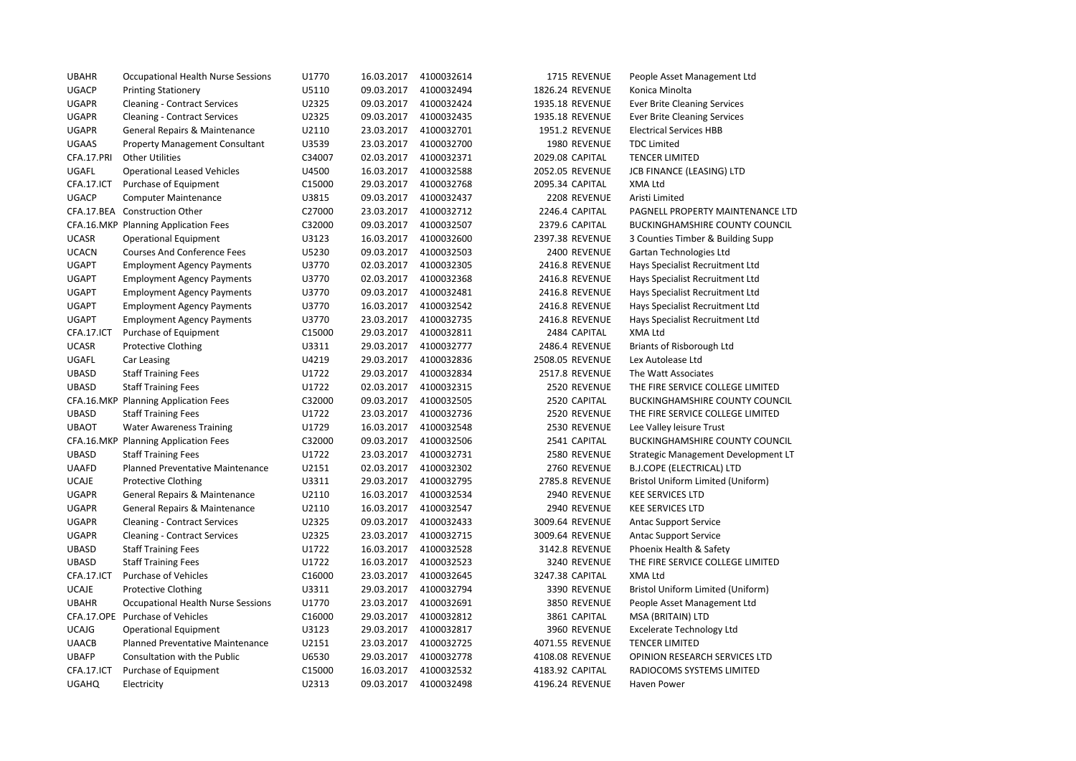| <b>UBAHR</b> | <b>Occupational Health Nurse Sessions</b> | U1770  | 16.03.2017 | 4100032614 | 1715 REVENUE          | People Asset Management Ltd           |
|--------------|-------------------------------------------|--------|------------|------------|-----------------------|---------------------------------------|
| <b>UGACP</b> | <b>Printing Stationery</b>                | U5110  | 09.03.2017 | 4100032494 | 1826.24 REVENUE       | Konica Minolta                        |
| <b>UGAPR</b> | <b>Cleaning - Contract Services</b>       | U2325  | 09.03.2017 | 4100032424 | 1935.18 REVENUE       | <b>Ever Brite Cleaning Services</b>   |
| <b>UGAPR</b> | <b>Cleaning - Contract Services</b>       | U2325  | 09.03.2017 | 4100032435 | 1935.18 REVENUE       | <b>Ever Brite Cleaning Services</b>   |
| <b>UGAPR</b> | General Repairs & Maintenance             | U2110  | 23.03.2017 | 4100032701 | 1951.2 REVENUE        | <b>Electrical Services HBB</b>        |
| UGAAS        | <b>Property Management Consultant</b>     | U3539  | 23.03.2017 | 4100032700 | 1980 REVENUE          | <b>TDC Limited</b>                    |
| CFA.17.PRI   | <b>Other Utilities</b>                    | C34007 | 02.03.2017 | 4100032371 | 2029.08 CAPITAL       | <b>TENCER LIMITED</b>                 |
| UGAFL        | <b>Operational Leased Vehicles</b>        | U4500  | 16.03.2017 | 4100032588 | 2052.05 REVENUE       | JCB FINANCE (LEASING) LTD             |
| CFA.17.ICT   | Purchase of Equipment                     | C15000 | 29.03.2017 | 4100032768 | 2095.34 CAPITAL       | XMA Ltd                               |
| <b>UGACP</b> | <b>Computer Maintenance</b>               | U3815  | 09.03.2017 | 4100032437 | 2208 REVENUE          | Aristi Limited                        |
|              | CFA.17.BEA Construction Other             | C27000 | 23.03.2017 | 4100032712 | 2246.4 CAPITAL        | PAGNELL PROPERTY MAINTENANCE LTD      |
|              | CFA.16.MKP Planning Application Fees      | C32000 | 09.03.2017 | 4100032507 | 2379.6 CAPITAL        | <b>BUCKINGHAMSHIRE COUNTY COUNCIL</b> |
| <b>UCASR</b> | <b>Operational Equipment</b>              | U3123  | 16.03.2017 | 4100032600 | 2397.38 REVENUE       | 3 Counties Timber & Building Supp     |
| <b>UCACN</b> | <b>Courses And Conference Fees</b>        | U5230  | 09.03.2017 | 4100032503 | 2400 REVENUE          | Gartan Technologies Ltd               |
| <b>UGAPT</b> | <b>Employment Agency Payments</b>         | U3770  | 02.03.2017 | 4100032305 | 2416.8 REVENUE        | Hays Specialist Recruitment Ltd       |
| <b>UGAPT</b> | <b>Employment Agency Payments</b>         | U3770  | 02.03.2017 | 4100032368 | 2416.8 REVENUE        | Hays Specialist Recruitment Ltd       |
| <b>UGAPT</b> | <b>Employment Agency Payments</b>         | U3770  | 09.03.2017 | 4100032481 | 2416.8 REVENUE        | Hays Specialist Recruitment Ltd       |
| <b>UGAPT</b> | <b>Employment Agency Payments</b>         | U3770  | 16.03.2017 | 4100032542 | 2416.8 REVENUE        | Hays Specialist Recruitment Ltd       |
| <b>UGAPT</b> | <b>Employment Agency Payments</b>         | U3770  | 23.03.2017 | 4100032735 | 2416.8 REVENUE        | Hays Specialist Recruitment Ltd       |
| CFA.17.ICT   | Purchase of Equipment                     | C15000 | 29.03.2017 | 4100032811 | 2484 CAPITAL          | XMA Ltd                               |
| <b>UCASR</b> | <b>Protective Clothing</b>                | U3311  | 29.03.2017 | 4100032777 | 2486.4 REVENUE        | Briants of Risborough Ltd             |
| UGAFL        | Car Leasing                               | U4219  | 29.03.2017 | 4100032836 | 2508.05 REVENUE       | Lex Autolease Ltd                     |
| <b>UBASD</b> | <b>Staff Training Fees</b>                | U1722  | 29.03.2017 | 4100032834 | <b>2517.8 REVENUE</b> | The Watt Associates                   |
| <b>UBASD</b> | <b>Staff Training Fees</b>                | U1722  | 02.03.2017 | 4100032315 | 2520 REVENUE          | THE FIRE SERVICE COLLEGE LIMITED      |
|              | CFA.16.MKP Planning Application Fees      | C32000 | 09.03.2017 | 4100032505 | 2520 CAPITAL          | <b>BUCKINGHAMSHIRE COUNTY COUNCIL</b> |
| <b>UBASD</b> | <b>Staff Training Fees</b>                | U1722  | 23.03.2017 | 4100032736 | 2520 REVENUE          | THE FIRE SERVICE COLLEGE LIMITED      |
| <b>UBAOT</b> | <b>Water Awareness Training</b>           | U1729  | 16.03.2017 | 4100032548 | 2530 REVENUE          | Lee Valley leisure Trust              |
|              | CFA.16.MKP Planning Application Fees      | C32000 | 09.03.2017 | 4100032506 | 2541 CAPITAL          | <b>BUCKINGHAMSHIRE COUNTY COUNCIL</b> |
| <b>UBASD</b> | <b>Staff Training Fees</b>                | U1722  | 23.03.2017 | 4100032731 | 2580 REVENUE          | Strategic Management Development LT   |
| <b>UAAFD</b> | Planned Preventative Maintenance          | U2151  | 02.03.2017 | 4100032302 | 2760 REVENUE          | <b>B.J.COPE (ELECTRICAL) LTD</b>      |
| <b>UCAJE</b> | <b>Protective Clothing</b>                | U3311  | 29.03.2017 | 4100032795 | 2785.8 REVENUE        | Bristol Uniform Limited (Uniform)     |
| <b>UGAPR</b> | General Repairs & Maintenance             | U2110  | 16.03.2017 | 4100032534 | 2940 REVENUE          | <b>KEE SERVICES LTD</b>               |
| <b>UGAPR</b> | General Repairs & Maintenance             | U2110  | 16.03.2017 | 4100032547 | 2940 REVENUE          | <b>KEE SERVICES LTD</b>               |
| <b>UGAPR</b> | <b>Cleaning - Contract Services</b>       | U2325  | 09.03.2017 | 4100032433 | 3009.64 REVENUE       | <b>Antac Support Service</b>          |
| <b>UGAPR</b> | <b>Cleaning - Contract Services</b>       | U2325  | 23.03.2017 | 4100032715 | 3009.64 REVENUE       | <b>Antac Support Service</b>          |
| <b>UBASD</b> | <b>Staff Training Fees</b>                | U1722  | 16.03.2017 | 4100032528 | 3142.8 REVENUE        | Phoenix Health & Safety               |
| <b>UBASD</b> | <b>Staff Training Fees</b>                | U1722  | 16.03.2017 | 4100032523 | 3240 REVENUE          | THE FIRE SERVICE COLLEGE LIMITED      |
| CFA.17.ICT   | Purchase of Vehicles                      | C16000 | 23.03.2017 | 4100032645 | 3247.38 CAPITAL       | XMA Ltd                               |
| <b>UCAJE</b> | <b>Protective Clothing</b>                | U3311  | 29.03.2017 | 4100032794 | 3390 REVENUE          | Bristol Uniform Limited (Uniform)     |
| <b>UBAHR</b> | Occupational Health Nurse Sessions        | U1770  | 23.03.2017 | 4100032691 | 3850 REVENUE          | People Asset Management Ltd           |
|              | CFA.17.OPE Purchase of Vehicles           | C16000 | 29.03.2017 | 4100032812 | 3861 CAPITAL          | MSA (BRITAIN) LTD                     |
| <b>UCAJG</b> | <b>Operational Equipment</b>              | U3123  | 29.03.2017 | 4100032817 | 3960 REVENUE          | <b>Excelerate Technology Ltd</b>      |
| <b>UAACB</b> | Planned Preventative Maintenance          | U2151  | 23.03.2017 | 4100032725 | 4071.55 REVENUE       | <b>TENCER LIMITED</b>                 |
| <b>UBAFP</b> | Consultation with the Public              | U6530  | 29.03.2017 | 4100032778 | 4108.08 REVENUE       | OPINION RESEARCH SERVICES LTD         |
| CFA.17.ICT   | Purchase of Equipment                     | C15000 | 16.03.2017 | 4100032532 | 4183.92 CAPITAL       | RADIOCOMS SYSTEMS LIMITED             |
| <b>UGAHQ</b> | Electricity                               | U2313  | 09.03.2017 | 4100032498 | 4196.24 REVENUE       | Haven Power                           |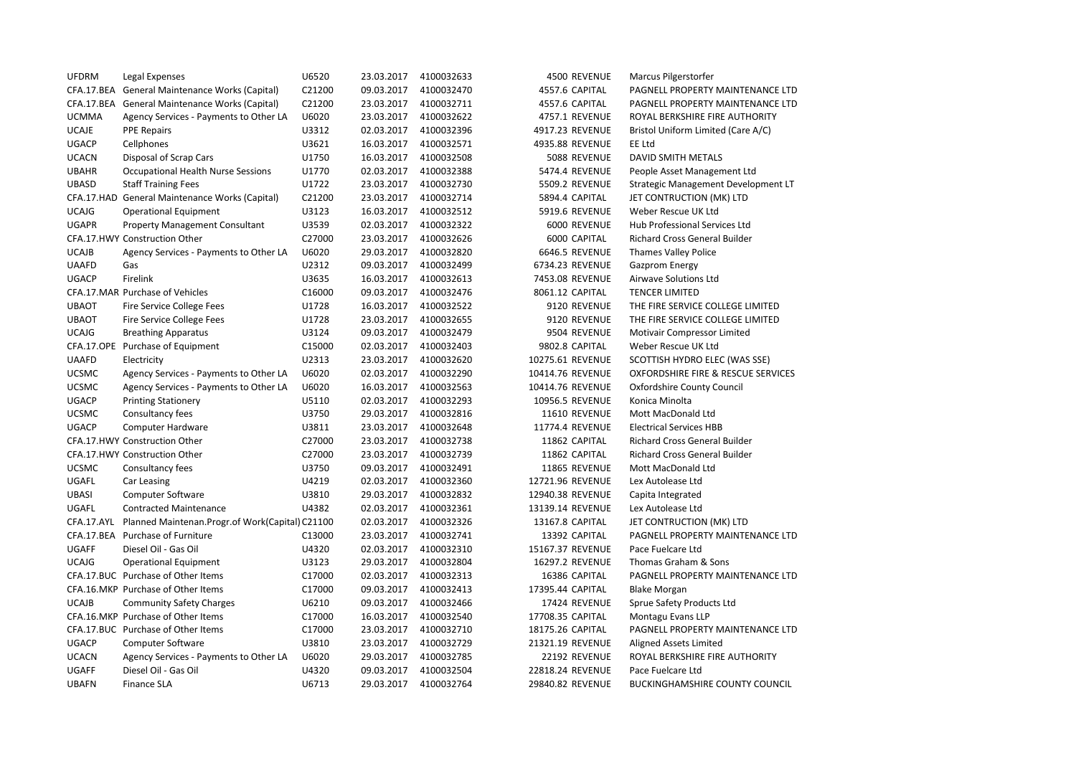| <b>UFDRM</b> | Legal Expenses                                             | U6520  | 23.03.2017 | 4100032633 | 4500 REVENUE     | Marcus Pilgerstorfer                  |
|--------------|------------------------------------------------------------|--------|------------|------------|------------------|---------------------------------------|
|              | CFA.17.BEA General Maintenance Works (Capital)             | C21200 | 09.03.2017 | 4100032470 | 4557.6 CAPITAL   | PAGNELL PROPERTY MAINTENANCE LTD      |
|              | CFA.17.BEA General Maintenance Works (Capital)             | C21200 | 23.03.2017 | 4100032711 | 4557.6 CAPITAL   | PAGNELL PROPERTY MAINTENANCE LTD      |
| <b>UCMMA</b> | Agency Services - Payments to Other LA                     | U6020  | 23.03.2017 | 4100032622 | 4757.1 REVENUE   | ROYAL BERKSHIRE FIRE AUTHORITY        |
| <b>UCAJE</b> | <b>PPE Repairs</b>                                         | U3312  | 02.03.2017 | 4100032396 | 4917.23 REVENUE  | Bristol Uniform Limited (Care A/C)    |
| <b>UGACP</b> | Cellphones                                                 | U3621  | 16.03.2017 | 4100032571 | 4935.88 REVENUE  | EE Ltd                                |
| <b>UCACN</b> | Disposal of Scrap Cars                                     | U1750  | 16.03.2017 | 4100032508 | 5088 REVENUE     | DAVID SMITH METALS                    |
| <b>UBAHR</b> | Occupational Health Nurse Sessions                         | U1770  | 02.03.2017 | 4100032388 | 5474.4 REVENUE   | People Asset Management Ltd           |
| <b>UBASD</b> | <b>Staff Training Fees</b>                                 | U1722  | 23.03.2017 | 4100032730 | 5509.2 REVENUE   | Strategic Management Development LT   |
|              | CFA.17.HAD General Maintenance Works (Capital)             | C21200 | 23.03.2017 | 4100032714 | 5894.4 CAPITAL   | JET CONTRUCTION (MK) LTD              |
| <b>UCAJG</b> | <b>Operational Equipment</b>                               | U3123  | 16.03.2017 | 4100032512 | 5919.6 REVENUE   | Weber Rescue UK Ltd                   |
| <b>UGAPR</b> | <b>Property Management Consultant</b>                      | U3539  | 02.03.2017 | 4100032322 | 6000 REVENUE     | Hub Professional Services Ltd         |
|              | CFA.17.HWY Construction Other                              | C27000 | 23.03.2017 | 4100032626 | 6000 CAPITAL     | <b>Richard Cross General Builder</b>  |
| <b>UCAJB</b> | Agency Services - Payments to Other LA                     | U6020  | 29.03.2017 | 4100032820 | 6646.5 REVENUE   | <b>Thames Valley Police</b>           |
| <b>UAAFD</b> | Gas                                                        | U2312  | 09.03.2017 | 4100032499 | 6734.23 REVENUE  | Gazprom Energy                        |
| <b>UGACP</b> | Firelink                                                   | U3635  | 16.03.2017 | 4100032613 | 7453.08 REVENUE  | Airwave Solutions Ltd                 |
|              | CFA.17.MAR Purchase of Vehicles                            | C16000 | 09.03.2017 | 4100032476 | 8061.12 CAPITAL  | <b>TENCER LIMITED</b>                 |
| <b>UBAOT</b> | <b>Fire Service College Fees</b>                           | U1728  | 16.03.2017 | 4100032522 | 9120 REVENUE     | THE FIRE SERVICE COLLEGE LIMITED      |
| <b>UBAOT</b> | Fire Service College Fees                                  | U1728  | 23.03.2017 | 4100032655 | 9120 REVENUE     | THE FIRE SERVICE COLLEGE LIMITED      |
| <b>UCAJG</b> | <b>Breathing Apparatus</b>                                 | U3124  | 09.03.2017 | 4100032479 | 9504 REVENUE     | <b>Motivair Compressor Limited</b>    |
|              | CFA.17.OPE Purchase of Equipment                           | C15000 | 02.03.2017 | 4100032403 | 9802.8 CAPITAL   | Weber Rescue UK Ltd                   |
| <b>UAAFD</b> | Electricity                                                | U2313  | 23.03.2017 | 4100032620 | 10275.61 REVENUE | SCOTTISH HYDRO ELEC (WAS SSE)         |
| <b>UCSMC</b> | Agency Services - Payments to Other LA                     | U6020  | 02.03.2017 | 4100032290 | 10414.76 REVENUE | OXFORDSHIRE FIRE & RESCUE SERVICES    |
| <b>UCSMC</b> | Agency Services - Payments to Other LA                     | U6020  | 16.03.2017 | 4100032563 | 10414.76 REVENUE | Oxfordshire County Council            |
| <b>UGACP</b> | <b>Printing Stationery</b>                                 | U5110  | 02.03.2017 | 4100032293 | 10956.5 REVENUE  | Konica Minolta                        |
| <b>UCSMC</b> | Consultancy fees                                           | U3750  | 29.03.2017 | 4100032816 | 11610 REVENUE    | Mott MacDonald Ltd                    |
| <b>UGACP</b> | Computer Hardware                                          | U3811  | 23.03.2017 | 4100032648 | 11774.4 REVENUE  | <b>Electrical Services HBB</b>        |
|              | CFA.17.HWY Construction Other                              | C27000 | 23.03.2017 | 4100032738 | 11862 CAPITAL    | <b>Richard Cross General Builder</b>  |
|              | CFA.17.HWY Construction Other                              | C27000 | 23.03.2017 | 4100032739 | 11862 CAPITAL    | Richard Cross General Builder         |
| <b>UCSMC</b> | Consultancy fees                                           | U3750  | 09.03.2017 | 4100032491 | 11865 REVENUE    | Mott MacDonald Ltd                    |
| UGAFL        | Car Leasing                                                | U4219  | 02.03.2017 | 4100032360 | 12721.96 REVENUE | Lex Autolease Ltd                     |
| <b>UBASI</b> | <b>Computer Software</b>                                   | U3810  | 29.03.2017 | 4100032832 | 12940.38 REVENUE | Capita Integrated                     |
| <b>UGAFL</b> | <b>Contracted Maintenance</b>                              | U4382  | 02.03.2017 | 4100032361 | 13139.14 REVENUE | Lex Autolease Ltd                     |
|              | CFA.17.AYL Planned Maintenan.Progr.of Work(Capital) C21100 |        | 02.03.2017 | 4100032326 | 13167.8 CAPITAL  | JET CONTRUCTION (MK) LTD              |
|              | CFA.17.BEA Purchase of Furniture                           | C13000 | 23.03.2017 | 4100032741 | 13392 CAPITAL    | PAGNELL PROPERTY MAINTENANCE LTD      |
| <b>UGAFF</b> | Diesel Oil - Gas Oil                                       | U4320  | 02.03.2017 | 4100032310 | 15167.37 REVENUE | Pace Fuelcare Ltd                     |
| <b>UCAJG</b> | <b>Operational Equipment</b>                               | U3123  | 29.03.2017 | 4100032804 | 16297.2 REVENUE  | Thomas Graham & Sons                  |
|              | CFA.17.BUC Purchase of Other Items                         | C17000 | 02.03.2017 | 4100032313 | 16386 CAPITAL    | PAGNELL PROPERTY MAINTENANCE LTD      |
|              | CFA.16.MKP Purchase of Other Items                         | C17000 | 09.03.2017 | 4100032413 | 17395.44 CAPITAL | <b>Blake Morgan</b>                   |
| <b>UCAJB</b> | <b>Community Safety Charges</b>                            | U6210  | 09.03.2017 | 4100032466 | 17424 REVENUE    | Sprue Safety Products Ltd             |
|              | CFA.16.MKP Purchase of Other Items                         | C17000 | 16.03.2017 | 4100032540 | 17708.35 CAPITAL | Montagu Evans LLP                     |
|              | CFA.17.BUC Purchase of Other Items                         | C17000 | 23.03.2017 | 4100032710 | 18175.26 CAPITAL | PAGNELL PROPERTY MAINTENANCE LTD      |
| <b>UGACP</b> | Computer Software                                          | U3810  | 23.03.2017 | 4100032729 | 21321.19 REVENUE | Aligned Assets Limited                |
| <b>UCACN</b> | Agency Services - Payments to Other LA                     | U6020  | 29.03.2017 | 4100032785 | 22192 REVENUE    | ROYAL BERKSHIRE FIRE AUTHORITY        |
| <b>UGAFF</b> | Diesel Oil - Gas Oil                                       | U4320  | 09.03.2017 | 4100032504 | 22818.24 REVENUE | Pace Fuelcare Ltd                     |
| <b>UBAFN</b> | <b>Finance SLA</b>                                         | U6713  | 29.03.2017 | 4100032764 | 29840.82 REVENUE | <b>BUCKINGHAMSHIRE COUNTY COUNCIL</b> |